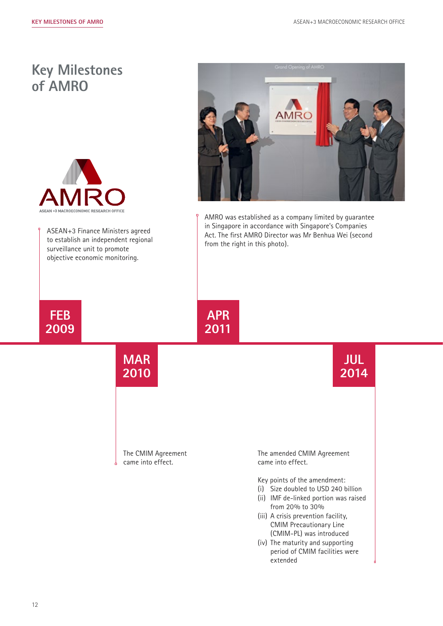## **Key Milestones of AMRO**



ASEAN+3 Finance Ministers agreed to establish an independent regional surveillance unit to promote objective economic monitoring.



AMRO was established as a company limited by guarantee in Singapore in accordance with Singapore's Companies Act. The first AMRO Director was Mr Benhua Wei (second from the right in this photo).



# **MAR**

**2010**

**APR 2011**

The CMIM Agreement came into effect.

**JUL 2014**

The amended CMIM Agreement came into effect.

Key points of the amendment:

- (i) Size doubled to USD 240 billion
- (ii) IMF de-linked portion was raised from 20% to 30%
- (iii) A crisis prevention facility, CMIM Precautionary Line (CMIM-PL) was introduced
- (iv) The maturity and supporting period of CMIM facilities were extended